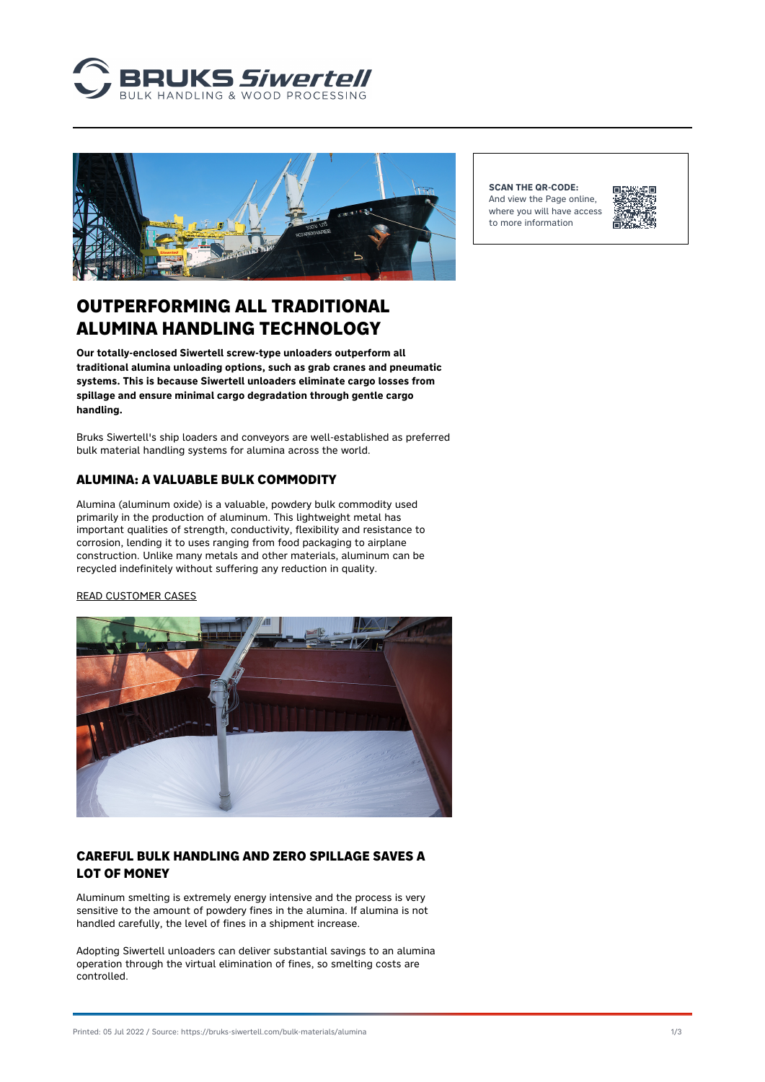



**SCAN THE QR-CODE:** And view the Page online, where you will have access to more information



# OUTPERFORMING ALL TRADITIONAL ALUMINA HANDLING TECHNOLOGY

**Our totally-enclosed Siwertell screw-type unloaders outperform all traditional alumina unloading options, such as grab cranes and pneumatic systems. This is because Siwertell unloaders eliminate cargo losses from spillage and ensure minimal cargo degradation through gentle cargo handling.**

Bruks Siwertell's ship loaders and conveyors are well-established as preferred bulk material handling systems for alumina across the world.

#### **ALUMINA: A VALUABLE BULK COMMODITY**

Alumina (aluminum oxide) is a valuable, powdery bulk commodity used primarily in the production of aluminum. This lightweight metal has important qualities of strength, conductivity, flexibility and resistance to corrosion, lending it to uses ranging from food packaging to airplane construction. Unlike many metals and other materials, aluminum can be recycled indefinitely without suffering any reduction in quality.

#### [READ CUSTOMER CASES](https://www.bruks-siwertell.com/cases)



#### **CAREFUL BULK HANDLING AND ZERO SPILLAGE SAVES A LOT OF MONEY**

Aluminum smelting is extremely energy intensive and the process is very sensitive to the amount of powdery fines in the alumina. If alumina is not handled carefully, the level of fines in a shipment increase.

Adopting Siwertell unloaders can deliver substantial savings to an alumina operation through the virtual elimination of fines, so smelting costs are controlled.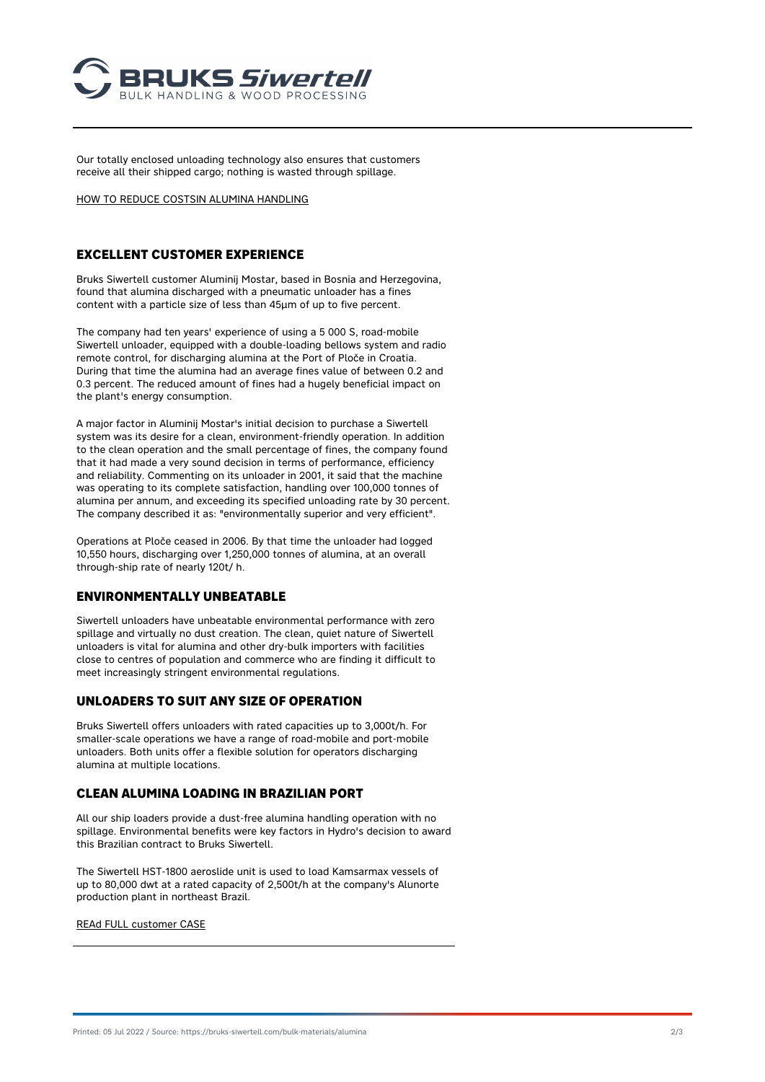

Our totally enclosed unloading technology also ensures that customers receive all their shipped cargo; nothing is wasted through spillage.

[HOW TO REDUCE COSTSIN ALUMINA HANDLING](https://www.bruks-siwertell.com/blog/make-move-siwertell-unloading-systems-it-could-save-global-alimina-industry-us1-billion-year/)

## **EXCELLENT CUSTOMER EXPERIENCE**

Bruks Siwertell customer Aluminij Mostar, based in Bosnia and Herzegovina, found that alumina discharged with a pneumatic unloader has a fines content with a particle size of less than 45µm of up to five percent.

The company had ten years' experience of using a 5 000 S, road-mobile Siwertell unloader, equipped with a double-loading bellows system and radio remote control, for discharging alumina at the Port of Ploče in Croatia. During that time the alumina had an average fines value of between 0.2 and 0.3 percent. The reduced amount of fines had a hugely beneficial impact on the plant's energy consumption.

A major factor in Aluminij Mostar's initial decision to purchase a Siwertell system was its desire for a clean, environment-friendly operation. In addition to the clean operation and the small percentage of fines, the company found that it had made a very sound decision in terms of performance, efficiency and reliability. Commenting on its unloader in 2001, it said that the machine was operating to its complete satisfaction, handling over 100,000 tonnes of alumina per annum, and exceeding its specified unloading rate by 30 percent. The company described it as: "environmentally superior and very efficient".

Operations at Ploče ceased in 2006. By that time the unloader had logged 10,550 hours, discharging over 1,250,000 tonnes of alumina, at an overall through-ship rate of nearly 120t/ h.

#### **ENVIRONMENTALLY UNBEATABLE**

Siwertell unloaders have unbeatable environmental performance with zero spillage and virtually no dust creation. The clean, quiet nature of Siwertell unloaders is vital for alumina and other dry-bulk importers with facilities close to centres of population and commerce who are finding it difficult to meet increasingly stringent environmental regulations.

#### **UNLOADERS TO SUIT ANY SIZE OF OPERATION**

Bruks Siwertell offers unloaders with rated capacities up to 3,000t/h. For smaller-scale operations we have a range of road-mobile and port-mobile unloaders. Both units offer a flexible solution for operators discharging alumina at multiple locations.

#### **CLEAN ALUMINA LOADING IN BRAZILIAN PORT**

All our ship loaders provide a dust-free alumina handling operation with no spillage. Environmental benefits were key factors in Hydro's decision to award this Brazilian contract to Bruks Siwertell.

The Siwertell HST-1800 aeroslide unit is used to load Kamsarmax vessels of up to 80,000 dwt at a rated capacity of 2,500t/h at the company's Alunorte production plant in northeast Brazil.

[REAd FULL customer CASE](https://www.bruks-siwertell.com/cases/ship-loader-brazil/)